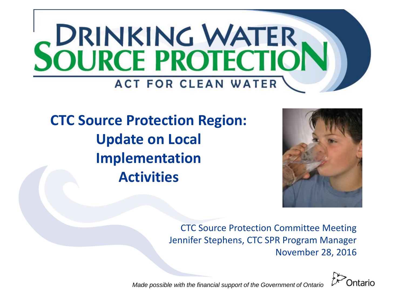

## **CTC Source Protection Region: Update on Local Implementation Activities**



CTC Source Protection Committee Meeting Jennifer Stephens, CTC SPR Program Manager November 28, 2016



*Made possible with the financial support of the Government of Ontario*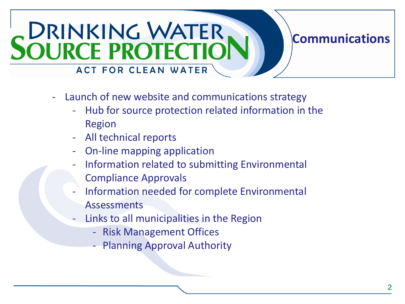## **DRINKING WATER<br>SOURCE PROTECTIO ACT FOR CLEAN WATER**

#### Launch of new website and communications strategy

- Hub for source protection related information in the Region
- All technical reports
- On-line mapping application
- Information related to submitting Environmental Compliance Approvals
- Information needed for complete Environmental Assessments
- Links to all municipalities in the Region
	- Risk Management Offices
	- **Planning Approval Authority**

**Communications**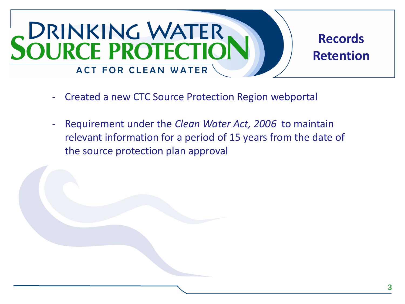

- Created a new CTC Source Protection Region webportal
- Requirement under the *Clean Water Act, 2006* to maintain relevant information for a period of 15 years from the date of the source protection plan approval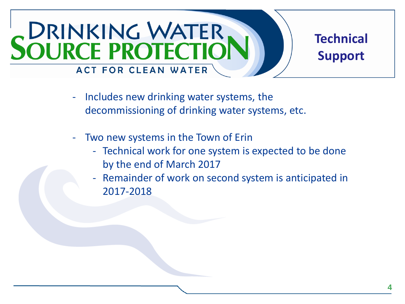## SOURCE PROTECTIO **Technical Support** ACT FOR CLEAN WATER

- Includes new drinking water systems, the decommissioning of drinking water systems, etc.
- Two new systems in the Town of Erin
	- Technical work for one system is expected to be done by the end of March 2017
	- Remainder of work on second system is anticipated in 2017-2018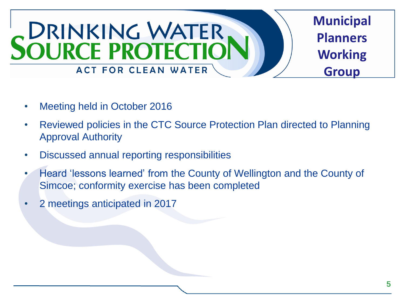

- Meeting held in October 2016
- Reviewed policies in the CTC Source Protection Plan directed to Planning Approval Authority
- Discussed annual reporting responsibilities
- Heard 'lessons learned' from the County of Wellington and the County of Simcoe; conformity exercise has been completed
- 2 meetings anticipated in 2017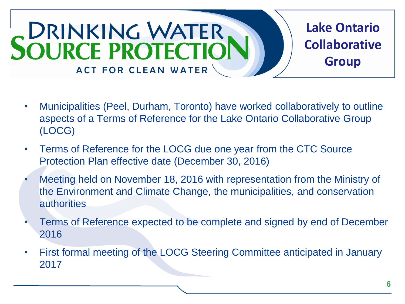

- Municipalities (Peel, Durham, Toronto) have worked collaboratively to outline aspects of a Terms of Reference for the Lake Ontario Collaborative Group (LOCG)
- Terms of Reference for the LOCG due one year from the CTC Source Protection Plan effective date (December 30, 2016)
- Meeting held on November 18, 2016 with representation from the Ministry of the Environment and Climate Change, the municipalities, and conservation authorities
- Terms of Reference expected to be complete and signed by end of December 2016
- First formal meeting of the LOCG Steering Committee anticipated in January 2017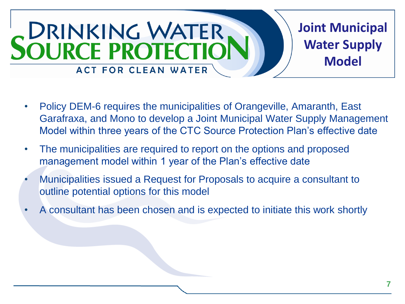

- Policy DEM-6 requires the municipalities of Orangeville, Amaranth, East Garafraxa, and Mono to develop a Joint Municipal Water Supply Management Model within three years of the CTC Source Protection Plan's effective date
- The municipalities are required to report on the options and proposed management model within 1 year of the Plan's effective date
- Municipalities issued a Request for Proposals to acquire a consultant to outline potential options for this model
- A consultant has been chosen and is expected to initiate this work shortly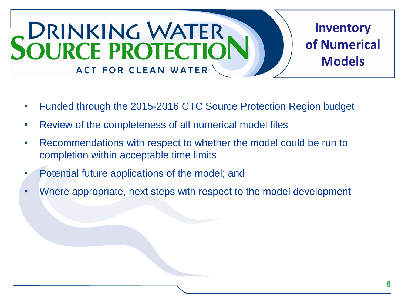

- Funded through the 2015-2016 CTC Source Protection Region budget
- Review of the completeness of all numerical model files
- Recommendations with respect to whether the model could be run to completion within acceptable time limits
- Potential future applications of the model; and
- Where appropriate, next steps with respect to the model development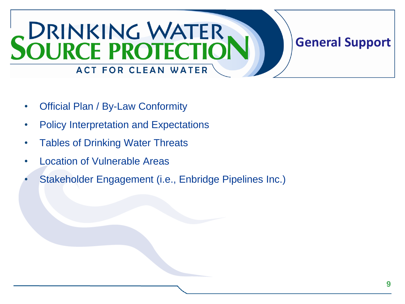# SOURCE PROTECTION ACT FOR CLEAN WATER

### • Official Plan / By-Law Conformity

- Policy Interpretation and Expectations
- Tables of Drinking Water Threats
- **Location of Vulnerable Areas**
- Stakeholder Engagement (i.e., Enbridge Pipelines Inc.)

**General Support**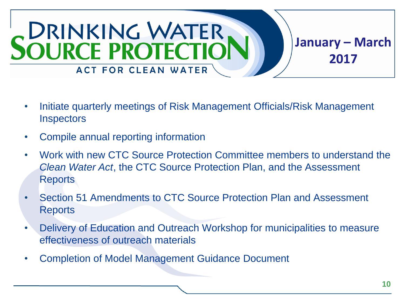

- Initiate quarterly meetings of Risk Management Officials/Risk Management **Inspectors**
- Compile annual reporting information
- Work with new CTC Source Protection Committee members to understand the *Clean Water Act*, the CTC Source Protection Plan, and the Assessment Reports
- Section 51 Amendments to CTC Source Protection Plan and Assessment Reports
- Delivery of Education and Outreach Workshop for municipalities to measure effectiveness of outreach materials
- Completion of Model Management Guidance Document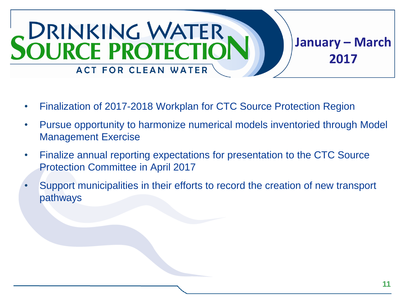

- Finalization of 2017-2018 Workplan for CTC Source Protection Region
- Pursue opportunity to harmonize numerical models inventoried through Model Management Exercise
- Finalize annual reporting expectations for presentation to the CTC Source Protection Committee in April 2017
- Support municipalities in their efforts to record the creation of new transport pathways